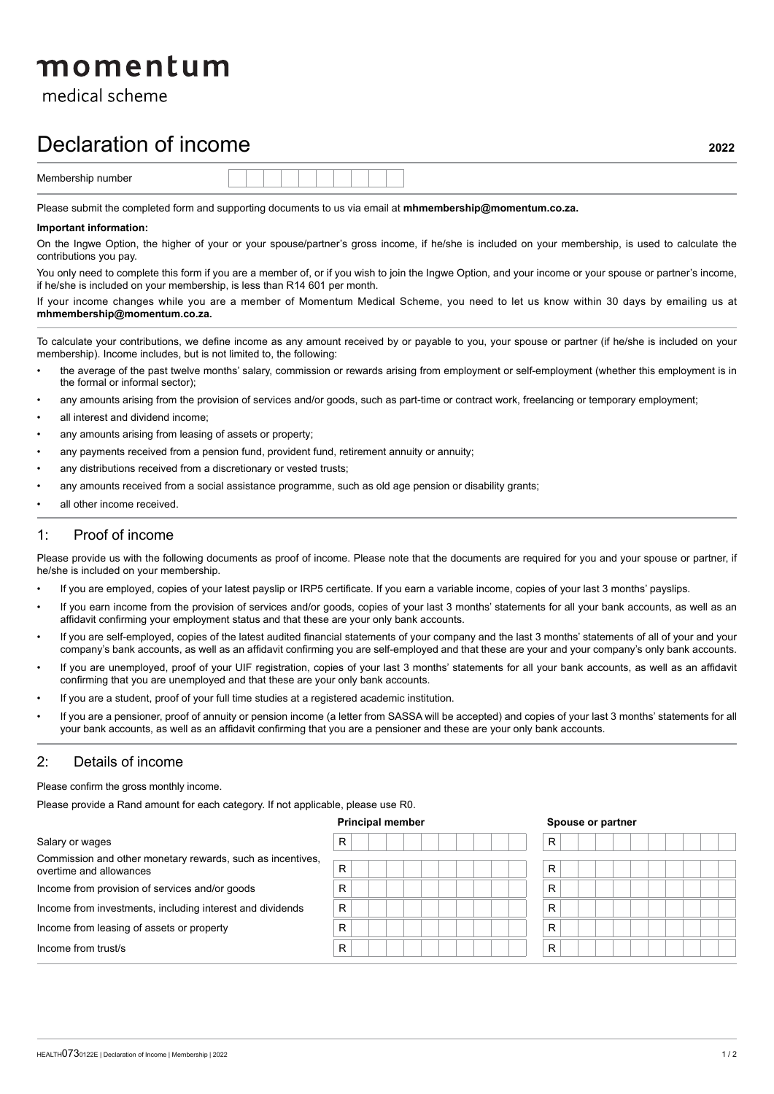# momentum

medical scheme

## Declaration of income

Please submit the completed form and supporting documents to us via email at **mhmembership@momentum.co.za.**

#### **Important information:**

On the Ingwe Option, the higher of your or your spouse/partner's gross income, if he/she is included on your membership, is used to calculate the contributions you pay.

You only need to complete this form if you are a member of, or if you wish to join the Ingwe Option, and your income or your spouse or partner's income, if he/she is included on your membership, is less than R14 601 per month.

If your income changes while you are a member of Momentum Medical Scheme, you need to let us know within 30 days by emailing us at **mhmembership@momentum.co.za.**

To calculate your contributions, we define income as any amount received by or payable to you, your spouse or partner (if he/she is included on your membership). Income includes, but is not limited to, the following:

- the average of the past twelve months' salary, commission or rewards arising from employment or self-employment (whether this employment is in the formal or informal sector);
- any amounts arising from the provision of services and/or goods, such as part-time or contract work, freelancing or temporary employment;
- all interest and dividend income;
- any amounts arising from leasing of assets or property;
- any payments received from a pension fund, provident fund, retirement annuity or annuity;
- any distributions received from a discretionary or vested trusts;
- any amounts received from a social assistance programme, such as old age pension or disability grants;
- all other income received.

#### 1: Proof of income

Please provide us with the following documents as proof of income. Please note that the documents are required for you and your spouse or partner, if he/she is included on your membership.

- If you are employed, copies of your latest payslip or IRP5 certificate. If you earn a variable income, copies of your last 3 months' payslips.
- If you earn income from the provision of services and/or goods, copies of your last 3 months' statements for all your bank accounts, as well as an affidavit confirming your employment status and that these are your only bank accounts.
- If you are self-employed, copies of the latest audited financial statements of your company and the last 3 months' statements of all of your and your company's bank accounts, as well as an affidavit confirming you are self-employed and that these are your and your company's only bank accounts.
- If you are unemployed, proof of your UIF registration, copies of your last 3 months' statements for all your bank accounts, as well as an affidavit confirming that you are unemployed and that these are your only bank accounts.
- If you are a student, proof of your full time studies at a registered academic institution.
- If you are a pensioner, proof of annuity or pension income (a letter from SASSA will be accepted) and copies of your last 3 months' statements for all your bank accounts, as well as an affidavit confirming that you are a pensioner and these are your only bank accounts.

#### 2: Details of income

Please confirm the gross monthly income.

Please provide a Rand amount for each category. If not applicable, please use R0.

| Salary or wages                                                                       | R | R |
|---------------------------------------------------------------------------------------|---|---|
| Commission and other monetary rewards, such as incentives,<br>overtime and allowances | R | R |
| Income from provision of services and/or goods                                        | R | R |
| Income from investments, including interest and dividends                             | R | R |
| Income from leasing of assets or property                                             | R | R |
| Income from trust/s                                                                   | R | R |

**Principal member Spouse or partner**